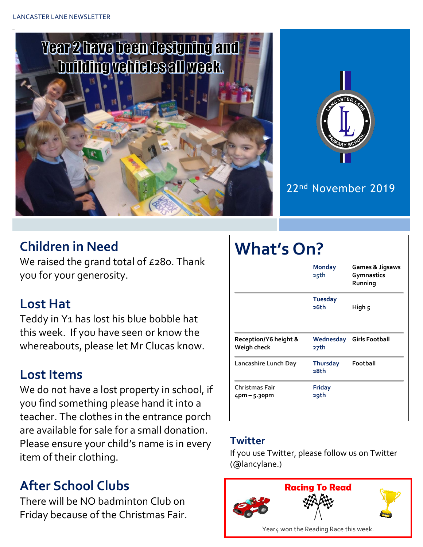



#### 22nd November 2019

## **Children in Need**

We raised the grand total of £280. Thank you for your generosity.

### **Lost Hat**

Teddy in Y1 has lost his blue bobble hat this week. If you have seen or know the whereabouts, please let Mr Clucas know.

## **Lost Items**

We do not have a lost property in school, if you find something please hand it into a teacher. The clothes in the entrance porch are available for sale for a small donation. Please ensure your child's name is in every item of their clothing.

# **After School Clubs**

There will be NO badminton Club on Friday because of the Christmas Fair.

# **What's On?**

|                                                 | <b>Monday</b><br>25th   | <b>Games &amp; Jigsaws</b><br>Gymnastics<br>Running |  |
|-------------------------------------------------|-------------------------|-----------------------------------------------------|--|
|                                                 | <b>Tuesday</b><br>26th  | High 5                                              |  |
| <b>Reception/Y6 height &amp;</b><br>Weigh check | 27th                    | Wednesday Girls Football                            |  |
| Lancashire Lunch Day                            | <b>Thursday</b><br>28th | Football                                            |  |
| <b>Christmas Fair</b><br>$4pm - 5.3$ opm        | <b>Friday</b><br>29th   |                                                     |  |

#### **Twitter**

If you use Twitter, please follow us on Twitter (@lancylane.)

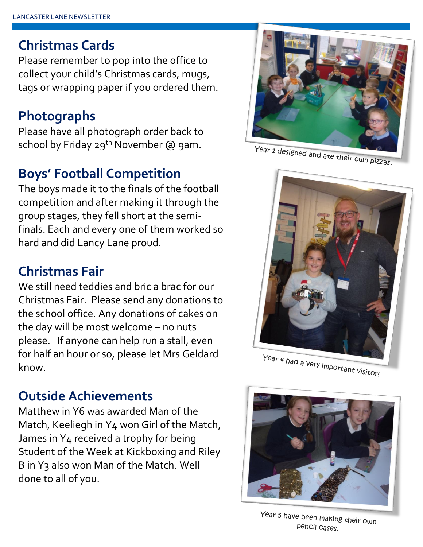### **Christmas Cards**

Please remember to pop into the office to collect your child's Christmas cards, mugs, tags or wrapping paper if you ordered them.

### **Photographs**

Please have all photograph order back to school by Friday 29<sup>th</sup> November @ 9am.

# **Boys' Football Competition**

The boys made it to the finals of the football competition and after making it through the group stages, they fell short at the semifinals. Each and every one of them worked so hard and did Lancy Lane proud.

## **Christmas Fair**

We still need teddies and bric a brac for our Christmas Fair. Please send any donations to the school office. Any donations of cakes on the day will be most welcome – no nuts please. If anyone can help run a stall, even for half an hour or so, please let Mrs Geldard know.

# **Outside Achievements**

Matthew in Y6 was awarded Man of the Match, Keeliegh in Y4 won Girl of the Match, James in Y4 received a trophy for being Student of the Week at Kickboxing and Riley B in Y3 also won Man of the Match. Well done to all of you.



Year 1 designed and ate their own pizzas.



Year 4 had a very important visitor!



Year 5 have been making their own pencil cases.